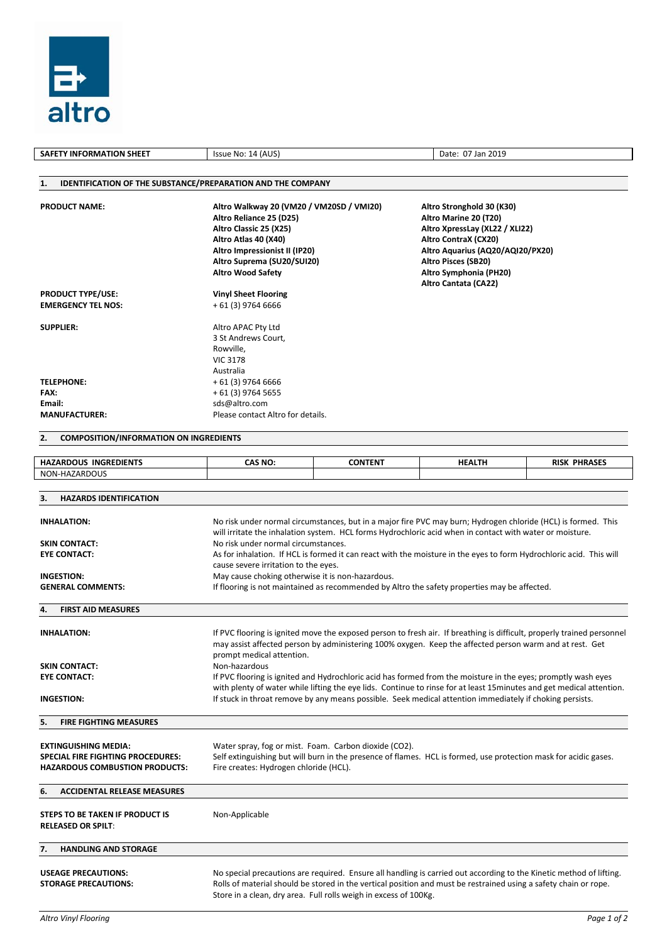

| <b>SAFETY INFORMATION SHEET</b>                                                                                                        | Issue No: 14 (AUS)                                                                                                                                                                                               |                | Date: 07 Jan 2019                                                                                                                                                                                                                                                                                                                                |                     |  |
|----------------------------------------------------------------------------------------------------------------------------------------|------------------------------------------------------------------------------------------------------------------------------------------------------------------------------------------------------------------|----------------|--------------------------------------------------------------------------------------------------------------------------------------------------------------------------------------------------------------------------------------------------------------------------------------------------------------------------------------------------|---------------------|--|
|                                                                                                                                        |                                                                                                                                                                                                                  |                |                                                                                                                                                                                                                                                                                                                                                  |                     |  |
| 1.                                                                                                                                     | IDENTIFICATION OF THE SUBSTANCE/PREPARATION AND THE COMPANY                                                                                                                                                      |                |                                                                                                                                                                                                                                                                                                                                                  |                     |  |
| <b>PRODUCT NAME:</b>                                                                                                                   | Altro Walkway 20 (VM20 / VM20SD / VMI20)<br>Altro Reliance 25 (D25)<br>Altro Classic 25 (X25)<br>Altro Atlas 40 (X40)<br>Altro Impressionist II (IP20)<br>Altro Suprema (SU20/SUI20)<br><b>Altro Wood Safety</b> |                | Altro Stronghold 30 (K30)<br>Altro Marine 20 (T20)<br>Altro XpressLay (XL22 / XLI22)<br>Altro ContraX (CX20)<br>Altro Aquarius (AQ20/AQI20/PX20)<br><b>Altro Pisces (SB20)</b><br>Altro Symphonia (PH20)                                                                                                                                         |                     |  |
| <b>PRODUCT TYPE/USE:</b>                                                                                                               | <b>Vinyl Sheet Flooring</b>                                                                                                                                                                                      |                | Altro Cantata (CA22)                                                                                                                                                                                                                                                                                                                             |                     |  |
| <b>EMERGENCY TEL NOS:</b>                                                                                                              | $+61(3)$ 9764 6666                                                                                                                                                                                               |                |                                                                                                                                                                                                                                                                                                                                                  |                     |  |
| <b>SUPPLIER:</b><br><b>TELEPHONE:</b><br>FAX:<br>Email:<br><b>MANUFACTURER:</b><br>2.<br><b>COMPOSITION/INFORMATION ON INGREDIENTS</b> | Altro APAC Pty Ltd<br>3 St Andrews Court,<br>Rowville,<br><b>VIC 3178</b><br>Australia<br>$+61(3)$ 9764 6666<br>+ 61 (3) 9764 5655<br>sds@altro.com<br>Please contact Altro for details.                         |                |                                                                                                                                                                                                                                                                                                                                                  |                     |  |
|                                                                                                                                        |                                                                                                                                                                                                                  |                |                                                                                                                                                                                                                                                                                                                                                  |                     |  |
| <b>HAZARDOUS INGREDIENTS</b>                                                                                                           | <b>CAS NO:</b>                                                                                                                                                                                                   | <b>CONTENT</b> | <b>HEALTH</b>                                                                                                                                                                                                                                                                                                                                    | <b>RISK PHRASES</b> |  |
| NON-HAZARDOUS                                                                                                                          |                                                                                                                                                                                                                  |                |                                                                                                                                                                                                                                                                                                                                                  |                     |  |
| <b>HAZARDS IDENTIFICATION</b><br>3.                                                                                                    |                                                                                                                                                                                                                  |                |                                                                                                                                                                                                                                                                                                                                                  |                     |  |
| <b>INHALATION:</b><br><b>SKIN CONTACT:</b><br><b>EYE CONTACT:</b>                                                                      | No risk under normal circumstances.<br>$\sim$                                                                                                                                                                    |                | No risk under normal circumstances, but in a major fire PVC may burn; Hydrogen chloride (HCL) is formed. This<br>will irritate the inhalation system. HCL forms Hydrochloric acid when in contact with water or moisture.<br>As for inhalation. If HCL is formed it can react with the moisture in the eyes to form Hydrochloric acid. This will |                     |  |

| NON-HAZARDOUS                                                                                                                                                           |                                                                                                                                                                                                                                   |                                                                                                                     |  |  |  |  |  |
|-------------------------------------------------------------------------------------------------------------------------------------------------------------------------|-----------------------------------------------------------------------------------------------------------------------------------------------------------------------------------------------------------------------------------|---------------------------------------------------------------------------------------------------------------------|--|--|--|--|--|
|                                                                                                                                                                         |                                                                                                                                                                                                                                   |                                                                                                                     |  |  |  |  |  |
| 3.<br><b>HAZARDS IDENTIFICATION</b>                                                                                                                                     |                                                                                                                                                                                                                                   |                                                                                                                     |  |  |  |  |  |
|                                                                                                                                                                         |                                                                                                                                                                                                                                   |                                                                                                                     |  |  |  |  |  |
| <b>INHALATION:</b>                                                                                                                                                      |                                                                                                                                                                                                                                   | No risk under normal circumstances, but in a major fire PVC may burn; Hydrogen chloride (HCL) is formed. This       |  |  |  |  |  |
| will irritate the inhalation system. HCL forms Hydrochloric acid when in contact with water or moisture.<br>No risk under normal circumstances.<br><b>SKIN CONTACT:</b> |                                                                                                                                                                                                                                   |                                                                                                                     |  |  |  |  |  |
| <b>EYE CONTACT:</b>                                                                                                                                                     | As for inhalation. If HCL is formed it can react with the moisture in the eyes to form Hydrochloric acid. This will<br>cause severe irritation to the eyes.                                                                       |                                                                                                                     |  |  |  |  |  |
|                                                                                                                                                                         |                                                                                                                                                                                                                                   |                                                                                                                     |  |  |  |  |  |
| <b>INGESTION:</b>                                                                                                                                                       | May cause choking otherwise it is non-hazardous.                                                                                                                                                                                  |                                                                                                                     |  |  |  |  |  |
| <b>GENERAL COMMENTS:</b>                                                                                                                                                | If flooring is not maintained as recommended by Altro the safety properties may be affected.                                                                                                                                      |                                                                                                                     |  |  |  |  |  |
| <b>FIRST AID MEASURES</b><br>4.                                                                                                                                         |                                                                                                                                                                                                                                   |                                                                                                                     |  |  |  |  |  |
| <b>INHALATION:</b>                                                                                                                                                      |                                                                                                                                                                                                                                   |                                                                                                                     |  |  |  |  |  |
|                                                                                                                                                                         | If PVC flooring is ignited move the exposed person to fresh air. If breathing is difficult, properly trained personnel<br>may assist affected person by administering 100% oxygen. Keep the affected person warm and at rest. Get |                                                                                                                     |  |  |  |  |  |
|                                                                                                                                                                         | prompt medical attention.                                                                                                                                                                                                         |                                                                                                                     |  |  |  |  |  |
| <b>SKIN CONTACT:</b>                                                                                                                                                    | Non-hazardous                                                                                                                                                                                                                     |                                                                                                                     |  |  |  |  |  |
| <b>EYE CONTACT:</b>                                                                                                                                                     |                                                                                                                                                                                                                                   | If PVC flooring is ignited and Hydrochloric acid has formed from the moisture in the eyes; promptly wash eyes       |  |  |  |  |  |
| <b>INGESTION:</b>                                                                                                                                                       | with plenty of water while lifting the eye lids. Continue to rinse for at least 15 minutes and get medical attention.<br>If stuck in throat remove by any means possible. Seek medical attention immediately if choking persists. |                                                                                                                     |  |  |  |  |  |
| <b>FIRE FIGHTING MEASURES</b><br>5.                                                                                                                                     |                                                                                                                                                                                                                                   |                                                                                                                     |  |  |  |  |  |
|                                                                                                                                                                         |                                                                                                                                                                                                                                   |                                                                                                                     |  |  |  |  |  |
| <b>EXTINGUISHING MEDIA:</b><br>SPECIAL FIRE FIGHTING PROCEDURES:                                                                                                        | Water spray, fog or mist. Foam. Carbon dioxide (CO2).<br>Self extinguishing but will burn in the presence of flames. HCL is formed, use protection mask for acidic gases.<br>Fire creates: Hydrogen chloride (HCL).               |                                                                                                                     |  |  |  |  |  |
| <b>HAZARDOUS COMBUSTION PRODUCTS:</b>                                                                                                                                   |                                                                                                                                                                                                                                   |                                                                                                                     |  |  |  |  |  |
| <b>ACCIDENTAL RELEASE MEASURES</b><br>6.                                                                                                                                |                                                                                                                                                                                                                                   |                                                                                                                     |  |  |  |  |  |
|                                                                                                                                                                         |                                                                                                                                                                                                                                   |                                                                                                                     |  |  |  |  |  |
| STEPS TO BE TAKEN IF PRODUCT IS                                                                                                                                         | Non-Applicable                                                                                                                                                                                                                    |                                                                                                                     |  |  |  |  |  |
| <b>RELEASED OR SPILT:</b>                                                                                                                                               |                                                                                                                                                                                                                                   |                                                                                                                     |  |  |  |  |  |
| <b>HANDLING AND STORAGE</b><br>7.                                                                                                                                       |                                                                                                                                                                                                                                   |                                                                                                                     |  |  |  |  |  |
| <b>USEAGE PRECAUTIONS:</b>                                                                                                                                              |                                                                                                                                                                                                                                   | No special precautions are required. Ensure all handling is carried out according to the Kinetic method of lifting. |  |  |  |  |  |
| <b>STORAGE PRECAUTIONS:</b>                                                                                                                                             |                                                                                                                                                                                                                                   |                                                                                                                     |  |  |  |  |  |
|                                                                                                                                                                         | Rolls of material should be stored in the vertical position and must be restrained using a safety chain or rope.<br>Store in a clean, dry area. Full rolls weigh in excess of 100Kg.                                              |                                                                                                                     |  |  |  |  |  |